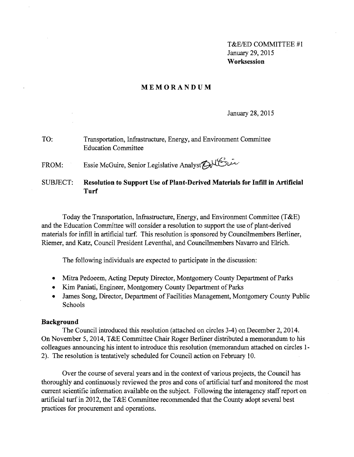T&E/ED COMMITTEE #1 January 29,2015 **Worksession** 

## **MEMORANDUM**

January 28, 2015

TO: Transportation, Infrastructure, Energy, and Environment Committee Education Committee

FROM: Essie McGuire, Senior Legislative Analyst Aller

SUBJECT: **Resolution to Support** Use **of Plant-Derived Materials for Infill in Artificial Turf** 

Today the Transportation, Infrastructure, Energy, and Environment Committee (T&E) and the Education Committee will consider a resolution to support the use of plant-derived materials for infill in artificial turf. This resolution is sponsored by Councilmembers Berliner, Riemer, and Katz, Council President Leventhal, and Councilmembers Navarro and Eirich.

The following individuals are expected to participate in the discussion:

- Mitra Pedoeem, Acting Deputy Director, Montgomery County Department of Parks
- Kim Paniati, Engineer, Montgomery County Department of Parks
- James Song, Director, Department of Facilities Management, Montgomery County Public Schools

### **Background**

The Council introduced this resolution (attached on circles 3-4) on December 2, 2014. On November 5, 2014, T&E Committee Chair Roger Berliner distributed a memorandum to his colleagues announcing his intent to introduce this resolution (memorandum attached on circles 1 2). The resolution is tentatively scheduled for Council action on February 10.

Over the course of several years and in the context of various projects, the Council has thoroughly and continuously reviewed the pros and cons of artificial turf and monitored the most current scientific information available on the subject. Following the interagency staff report on artificial turf in 2012, the T&E Committee recommended that the County adopt several best practices for procurement and operations.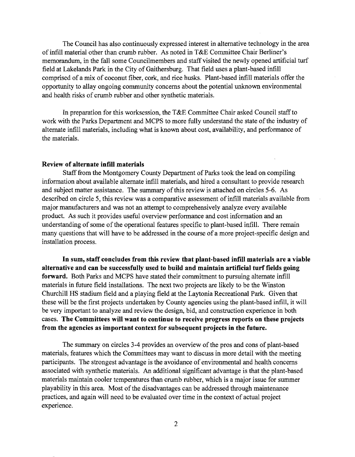The Council has also continuously expressed interest in alternative technology in the area ofinfill material other than crumb rubber. As noted in T&E Committee Chair Berliner's memorandum, in the fall some Councilmembers and staff visited the newly opened artificial turf field at Lakelands Park in the City of Gaithersburg. That field uses a plant-based infill comprised of a mix of coconut fiber, cork, and rice husks. Plant-based infill materials offer the opportunity to allay ongoing community concerns about the potential unknown environmental and health risks of crumb rubber and other synthetic materials.

In preparation for this worksession, the T&E Committee Chair asked Council staff to work with the Parks Department and MCPS to more fully understand the state of the industry of alternate infill materials, including what is known about cost, availability, and performance of the materials.

### **Review of alternate infIlI materials**

Staff from the Montgomery County Department of Parks took the lead on compiling information about available alternate infill materials, and hired a consultant to provide research and subject matter assistance. The summary of this review is attached on circles 5-6. As described on circle 5, this review was a comparative assessment of infill materials available from major manufacturers and was not an attempt to comprehensively analyze every available product. As such it provides useful overview performance and cost information and an understanding of some of the operational features specific to plant-based infill. There remain many questions that will have to be addressed in the course of a more project-specific design and installation process.

**In sum, staff concludes from this review that plant-based infill materials are a viable alternative and can be successfully used to build and** maintain artificial **turf fields going forward.** Both Parks and MCPS have stated their commitment to pursuing alternate infill materials in future field installations. The next two projects are likely to be the Winston Churchill HS stadium field and a playing field at the Laytonia Recreational Park. Given that these will be the first projects undertaken by County agencies using the plant-based infill, it will be very important to analyze and review the design, bid, and construction experience in both cases. **The Committees will want to continue to receive progress reports on these projects from the agencies as important context for subsequent projects in the future.** 

The summary on circles 3-4 provides an overview of the pros and cons of plant-based materials, features which the Committees may want to discuss in more detail with the meeting participants. The strongest advantage is the avoidance of environmental and health concerns associated with synthetic materials. An additional significant advantage is that the plant-based materials maintain cooler temperatures than crumb rubber, which is a major issue for summer playability in this area. Most of the disadvantages can be addressed through maintenance practices, and again will need to be evaluated over time in the context of actual project experience.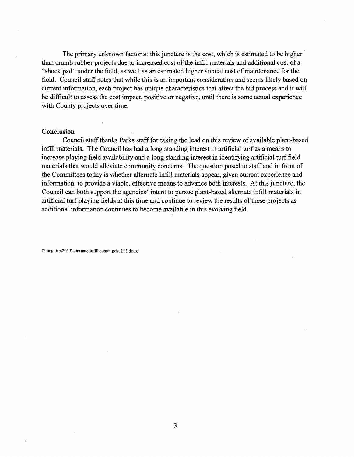The primary unknown factor at this juncture is the cost, which is estimated to be higher than crumb rubber projects due to increased cost of the infill materials and additional cost of a "shock pad" under the field, as well as an estimated higher annual cost of maintenance for the field. Council staff notes that while this is an important consideration and seems likely based on current information, each project has unique characteristics that affect the bid process and it will be difficult to assess the cost impact, positive or negative, until there is some actual experience with County projects over time.

#### **Conclusion**

Council staff thanks Parks staff for taking the lead on this review of available plant-based infill materials. The Council has had a long standing interest in artificial turf as a means to increase playing field availability and a long standing interest in identifying artificial turf field materials that would alleviate community concerns. The question posed to staff and in front of the Committees today is whether alternate infill materials appear, given current experience and information, to provide a viable, effective means to advance both interests. At this juncture, the Council can both support the agencies' intent to pursue plant-based alternate infill materials in artificial turf playing fields at this time and continue to review the results of these projects as additional information continues to become available in this evolving field.

f:\mcguire\20IS\aJtemate infill comm pckt 115.docx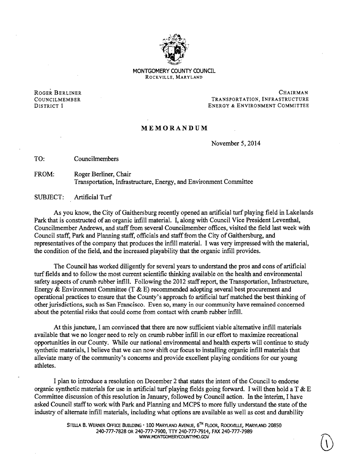

MONTGOMERY COUNTY COUNCIL ROCKVILLE, MARYLAND

ROGER BERLINER CHAIRMAN CHAIRMAN COUNCILMEMBER TRANSPORTATION, INFRASTRUCTURE DISTRICT 1 ENERGY & ENVIRONMENT COMMITTEE

### MEMORANDUM

November 5, 2014

TO: Councilmembers

FROM: Roger Berliner, Chair Transportation, Infrastructure, Energy, and Environment Committee

SUBJECT: Artificial Turf

As you know, the City of Gaithersburg recently opened an artificial turf playing field in Lakelands Park that is constructed of an organic infill material. I, along with Council Vice President Leventhal, Councilmember Andrews, and staff from several Councilmember offices, visited the field last week with Council staff, Park and Planning staff, officials and staff from the City of Gaithersburg, and representatives of the company that produces the infill material. I was very impressed with the material, the condition of the field, and the increased playability that the organic infill provides.

The Council has worked diligently for several years to understand the pros and cons of artificial turf fields and to follow the most current scientific thinking available on the health and environmental safety aspects of crumb rubber infill. Following the 2012 staffreport, the Transportation, Infrastructure, Energy & Environment Committee (T & E) recommended adopting several best procurement and operational practices to ensure that the County's approach *to* artificial turf matched the best thinking of other jurisdictions, such as San Francisco. Even so, many in our community have remained concerned about the potential risks that could come from contact with crumb rubber infill.

At this juncture, I am convinced that there are now sufficient viable alternative infill materials available that we no longer need to rely on crumb rubber infill in our effort to maximize recreational opportunities in our County. While our national environmental and health experts will continue to study synthetic materials, I believe that we can now shift our focus to installing organic infill materials that alleviate many ofthe community's concerns and provide excellent playing conditions for our young athletes.

I plan to introduce a resolution on December 2 that states the intent of the Council to endorse organic synthetic materials for use in artificial turf playing fields going forward. I will then hold a  $T \& E$ Committee discussion of this resolution in January, followed by Council action. In the interim, I have asked Council staff to work with Park and Planning and MCPS to more fully understand the state of the industry of alternate infill materials, including what options are available as well as cost and durability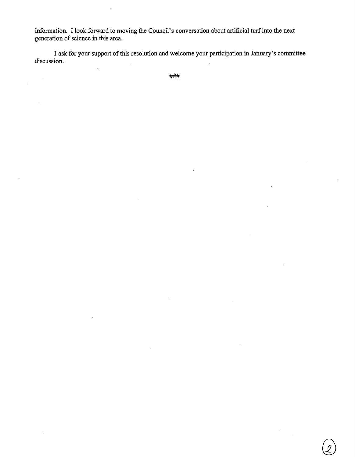information. I look forward to moving the Council's conversation about artificial turf into the next generation of science in this area.

I ask for your support of this resolution and welcome your participation in January's committee discussion.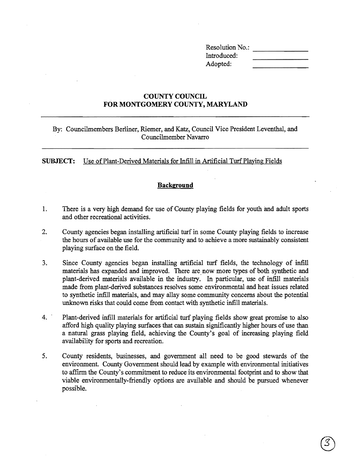Resolution No.: Introduced: Adopted:

# **COUNTY COUNCIL FOR MONTGOMERY COUNTY, MARYLAND**

By: Councilmembers Berliner, Riemer, and Katz, Council Vice President Leventhal, and Councilmember Navarro

**SUBJECT:** Use of Plant-Derived Materials for Infill in Artificial Turf Playing Fields

# **Background**

- 1. There is a very high demand for use of County playing fields for youth and adult sports and other recreational activities.
- 2. County agencies began installing artificial turf in some County playing fields to increase the hours of available use for the community and to achieve a more sustainably consistent playing surface on the field.
- 3. Since County agencies began installing artificial turf fields, the technology of infill materials has expanded and improved. There are now more types of both synthetic and plant-derived materials available in the industry. In particular, use of infill materials made from plant-derived substances resolves some environmental and heat issues related to synthetic infill materials, and may allay some community concerns about the potential unknown risks that could come from contact with synthetic infill materials.
- 4. Plant-derived infill materials for artificial turf playing fields show great promise to also afford high quality playing surfaces that can sustain significantly higher hours of use than a natural grass playing field, achieving the County's goal of increasing playing field availability for sports and recreation.
- 5. County residents, businesses, and government all need to be good stewards of the environment. County Government should lead by example with environmental initiatives to affirm the County's commitment to reduce its environmental footprint and to show that viable environmentally-friendly options are available and should be pursued whenever possible.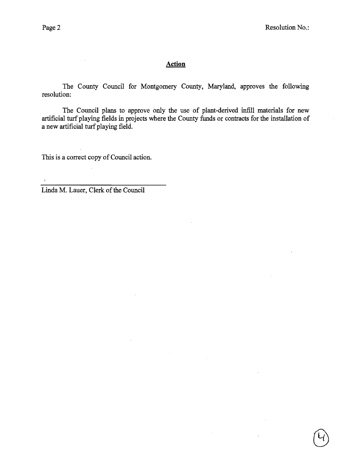$\bar{t}$ 

# **Action**

The County Council for Montgomery County, Maryland, approves the following resolution:

The Council plans to approve only the use of plant-derived infill materials for new artificial turf playing fields in projects where the County funds or contracts for the installation of a new artificial turf playing field.

 $\epsilon$ 

This is a correct copy of Council action.

 $\sim$ 

Linda M. Lauer, Clerk of the Council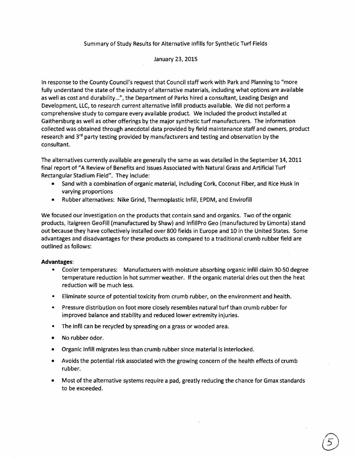### Summary of Study Results for Alternative Infills for Synthetic Turf Fields

#### January 23, 2015

In response to the County Council's request that Council staff work with Park and Planning to "more fully understand the state of the industry of alternative materials, including what options are available as well as cost and durability ...", the Department of Parks hired a consultant, Leading Design and Development, LLC, to research current alternative infill products available. We did not perform a comprehensive study to compare every available product. We included the product installed at Gaithersburg as well as other offerings by the major synthetic turf manufacturers. The information collected was obtained through anecdotal data provided by field maintenance staff and owners, product research and 3<sup>rd</sup> party testing provided by manufacturers and testing and observation by the consultant.

The alternatives currently available are generally the same as was detailed in the September 14, 2011 final report of "A Review of Benefits and Issues Associated with Natural Grass and Artificial Turf Rectangular Stadium Field". They include:

- Sand with a combination of organic material, including Cork, Coconut Fiber, and Rice Husk in varying proportions
- Rubber alternatives: Nike Grind, Thermoplastic Infill, EPDM, and Envirofill

We focused our investigation on the products that contain sand and organics. Two of the organic products, Italgreen GeoFiII (manufactured by Shaw) and InfillPro Geo (manufactured by Limonta) stand out because they have collectively installed over 800 fields in Europe and 10 in the United States. Some advantages and disadvantages for these products as compared to a traditional crumb rubber field are outlined as follows:

#### **Advantages:**

- Cooler temperatures: Manufacturers with moisture absorbing organic infill claim 30-50 degree temperature reduction in hot summer weather. If the organic material dries out then the heat reduction will be much less.
- Eliminate source of potential toxicity from crumb rubber, on the environment and health.
- Pressure distribution on foot more closely resembles natural turf than crumb rubber for improved balance and stability and reduced lower extremity injuries.
- The infll can be recycled by spreading on a grass or wooded area.
- No rubber odor.
- Organic Infill migrates less than crumb rubber since material is interlocked.
- Avoids the potential risk associated with the growing concern of the health effects of crumb rubber.
- Most of the alternative systems require a pad, greatly reducing the chance for Gmax standards to be exceeded.